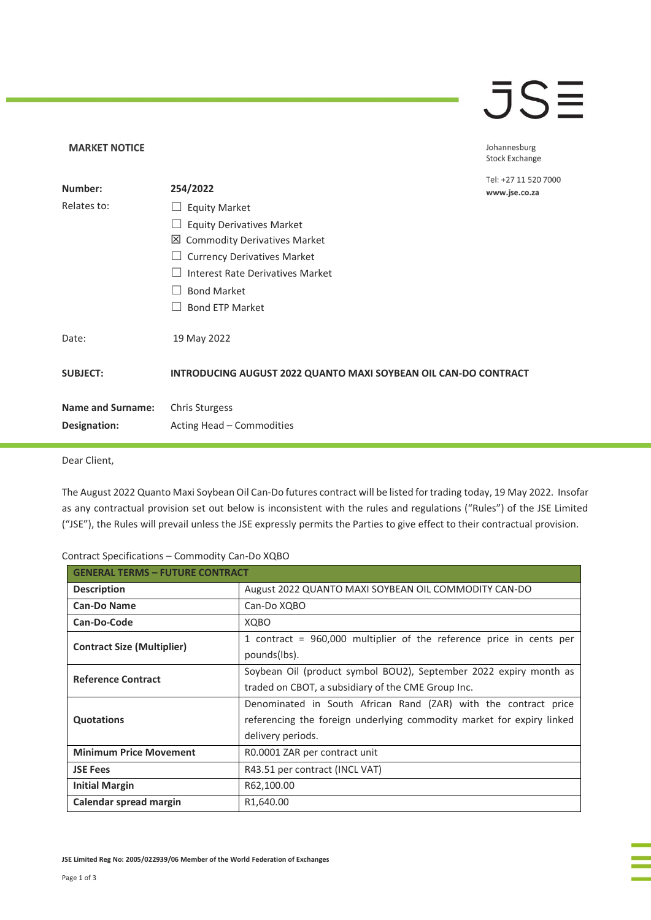## **JSE**

Johannesburg Stock Exchange

ОC

| Number:                  | 254/2022                                                               | Tel: +27 11 520 700<br>www.jse.co.za |
|--------------------------|------------------------------------------------------------------------|--------------------------------------|
| Relates to:              | <b>Equity Market</b><br>$\Box$                                         |                                      |
|                          | <b>Equity Derivatives Market</b>                                       |                                      |
|                          | <b>⊠</b> Commodity Derivatives Market                                  |                                      |
|                          | <b>Currency Derivatives Market</b>                                     |                                      |
|                          | Interest Rate Derivatives Market                                       |                                      |
|                          | <b>Bond Market</b>                                                     |                                      |
|                          | <b>Bond ETP Market</b>                                                 |                                      |
| Date:                    | 19 May 2022                                                            |                                      |
| <b>SUBJECT:</b>          | <b>INTRODUCING AUGUST 2022 QUANTO MAXI SOYBEAN OIL CAN-DO CONTRACT</b> |                                      |
| <b>Name and Surname:</b> | <b>Chris Sturgess</b>                                                  |                                      |
| Designation:             | Acting Head - Commodities                                              |                                      |

Dear Client,

**MARKET NOTICE** 

The August 2022 Quanto Maxi Soybean Oil Can-Do futures contract will be listed for trading today, 19 May 2022. Insofar as any contractual provision set out below is inconsistent with the rules and regulations ("Rules") of the JSE Limited ("JSE"), the Rules will prevail unless the JSE expressly permits the Parties to give effect to their contractual provision.

| Contract Specifications - Commodity Can-Do XQBO |  |  |  |
|-------------------------------------------------|--|--|--|
|-------------------------------------------------|--|--|--|

| <b>GENERAL TERMS - FUTURE CONTRACT</b> |                                                                       |  |
|----------------------------------------|-----------------------------------------------------------------------|--|
| <b>Description</b>                     | August 2022 QUANTO MAXI SOYBEAN OIL COMMODITY CAN-DO                  |  |
| <b>Can-Do Name</b>                     | Can-Do XQBO                                                           |  |
| Can-Do-Code                            | <b>XOBO</b>                                                           |  |
| <b>Contract Size (Multiplier)</b>      | 1 contract = 960,000 multiplier of the reference price in cents per   |  |
|                                        | pounds(lbs).                                                          |  |
| <b>Reference Contract</b>              | Soybean Oil (product symbol BOU2), September 2022 expiry month as     |  |
|                                        | traded on CBOT, a subsidiary of the CME Group Inc.                    |  |
|                                        | Denominated in South African Rand (ZAR) with the contract price       |  |
| <b>Quotations</b>                      | referencing the foreign underlying commodity market for expiry linked |  |
|                                        | delivery periods.                                                     |  |
| <b>Minimum Price Movement</b>          | R0.0001 ZAR per contract unit                                         |  |
| <b>JSE Fees</b>                        | R43.51 per contract (INCL VAT)                                        |  |
| <b>Initial Margin</b>                  | R62,100.00                                                            |  |
| Calendar spread margin                 | R <sub>1</sub> ,640.00                                                |  |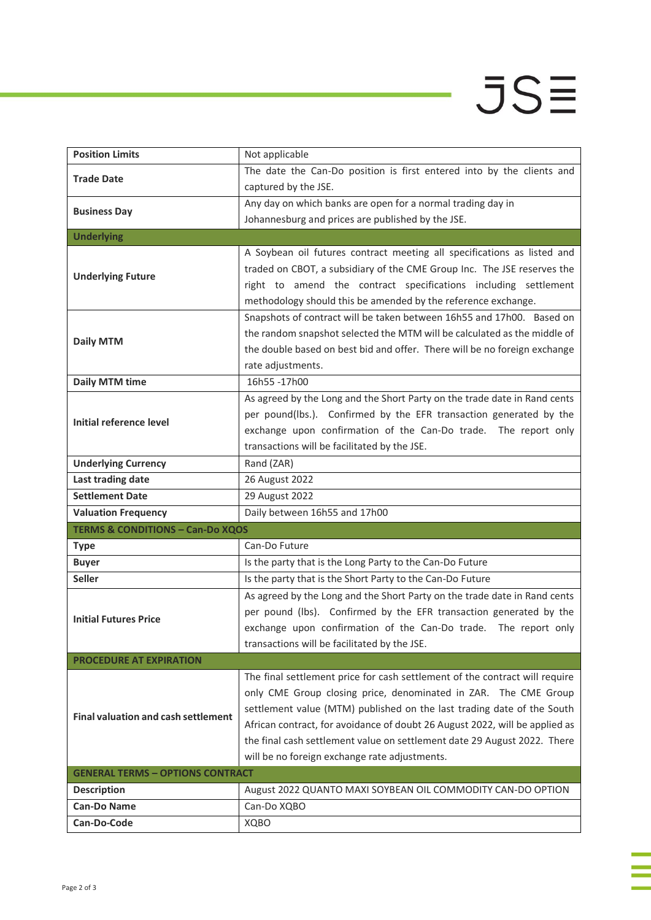## $JS\equiv$

i<br>I

j.

| <b>Position Limits</b>                      | Not applicable                                                              |
|---------------------------------------------|-----------------------------------------------------------------------------|
| <b>Trade Date</b>                           | The date the Can-Do position is first entered into by the clients and       |
|                                             | captured by the JSE.                                                        |
|                                             | Any day on which banks are open for a normal trading day in                 |
| <b>Business Day</b>                         | Johannesburg and prices are published by the JSE.                           |
| <b>Underlying</b>                           |                                                                             |
|                                             | A Soybean oil futures contract meeting all specifications as listed and     |
| <b>Underlying Future</b>                    | traded on CBOT, a subsidiary of the CME Group Inc. The JSE reserves the     |
|                                             | right to amend the contract specifications including settlement             |
|                                             | methodology should this be amended by the reference exchange.               |
|                                             | Snapshots of contract will be taken between 16h55 and 17h00. Based on       |
| <b>Daily MTM</b>                            | the random snapshot selected the MTM will be calculated as the middle of    |
|                                             | the double based on best bid and offer. There will be no foreign exchange   |
|                                             | rate adjustments.                                                           |
| <b>Daily MTM time</b>                       | 16h55-17h00                                                                 |
|                                             | As agreed by the Long and the Short Party on the trade date in Rand cents   |
| Initial reference level                     | per pound(lbs.). Confirmed by the EFR transaction generated by the          |
|                                             | exchange upon confirmation of the Can-Do trade. The report only             |
|                                             | transactions will be facilitated by the JSE.                                |
| <b>Underlying Currency</b>                  | Rand (ZAR)                                                                  |
| Last trading date                           | 26 August 2022                                                              |
| <b>Settlement Date</b>                      | 29 August 2022                                                              |
| <b>Valuation Frequency</b>                  | Daily between 16h55 and 17h00                                               |
| <b>TERMS &amp; CONDITIONS - Can-Do XQOS</b> |                                                                             |
| <b>Type</b>                                 | Can-Do Future                                                               |
| <b>Buyer</b>                                | Is the party that is the Long Party to the Can-Do Future                    |
| <b>Seller</b>                               | Is the party that is the Short Party to the Can-Do Future                   |
|                                             | As agreed by the Long and the Short Party on the trade date in Rand cents   |
| <b>Initial Futures Price</b>                | per pound (lbs). Confirmed by the EFR transaction generated by the          |
|                                             | exchange upon confirmation of the Can-Do trade. The report only             |
|                                             | transactions will be facilitated by the JSE.                                |
| <b>PROCEDURE AT EXPIRATION</b>              |                                                                             |
|                                             | The final settlement price for cash settlement of the contract will require |
|                                             | only CME Group closing price, denominated in ZAR. The CME Group             |
| <b>Final valuation and cash settlement</b>  | settlement value (MTM) published on the last trading date of the South      |
|                                             | African contract, for avoidance of doubt 26 August 2022, will be applied as |
|                                             | the final cash settlement value on settlement date 29 August 2022. There    |
|                                             | will be no foreign exchange rate adjustments.                               |
| <b>GENERAL TERMS - OPTIONS CONTRACT</b>     |                                                                             |
| <b>Description</b><br><b>Can-Do Name</b>    | August 2022 QUANTO MAXI SOYBEAN OIL COMMODITY CAN-DO OPTION                 |
|                                             | Can-Do XQBO                                                                 |
| Can-Do-Code                                 | XQBO                                                                        |